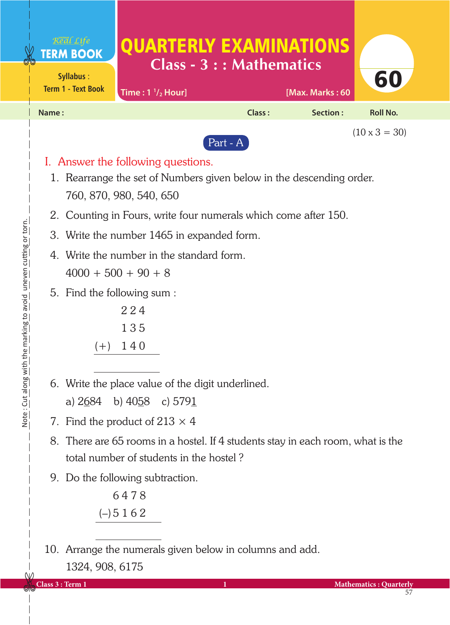| Real Life<br><b>TERM BOOK</b><br>Syllabus:<br><b>Term 1 - Text Book</b> | Time: $1 \frac{1}{2}$ Hour]        | <b>QUARTERLY EXAMINATIONS</b><br>$Class - 3 : : Mathematics$         | [Max. Marks: 60 | 60                   |
|-------------------------------------------------------------------------|------------------------------------|----------------------------------------------------------------------|-----------------|----------------------|
| Name:                                                                   |                                    | Class:                                                               | Section:        | Roll No.             |
|                                                                         |                                    | Part - A                                                             |                 | $(10 \times 3 = 30)$ |
|                                                                         | I. Answer the following questions. |                                                                      |                 |                      |
|                                                                         |                                    | 1. Rearrange the set of Numbers given below in the descending order. |                 |                      |

Note: Cut along with the marking to avoid uneven cutting or torn. Note : Cut along with the marking to avoid uneven cutting or torn.

2. Counting in Fours, write four numerals which come after 150.

- 3. Write the number 1465 in expanded form.
- 4. Write the number in the standard form.  $4000 + 500 + 90 + 8$
- 5. Find the following sum :

 2 2 4 1 3 5  $(+)$  140

760, 870, 980, 540, 650

6. Write the place value of the digit underlined.

a)  $2684$  b)  $4058$  c)  $5791$ 

- 7. Find the product of  $213 \times 4$
- 8. There are 65 rooms in a hostel. If 4 students stay in each room, what is the total number of students in the hostel ?
- 9. Do the following subtraction.

 6 4 7 8  $(-)$  5 1 6 2

<sup>10.</sup> Arrange the numerals given below in columns and add. 1324, 908, 6175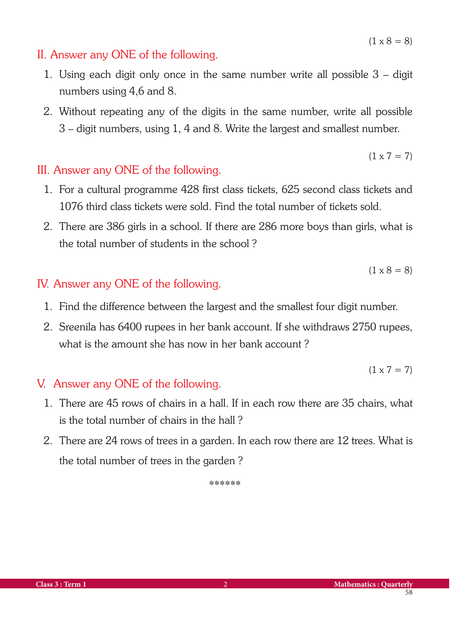#### $(1 \times 8 = 8)$

 $(1 \times 7 = 7)$ 

### II. Answer any ONE of the following.

- 1. Using each digit only once in the same number write all possible 3 digit numbers using 4,6 and 8.
- 2. Without repeating any of the digits in the same number, write all possible 3 – digit numbers, using 1, 4 and 8. Write the largest and smallest number.

### III. Answer any ONE of the following.

- 1. For a cultural programme 428 first class tickets, 625 second class tickets and 1076 third class tickets were sold. Find the total number of tickets sold.
- 2. There are 386 girls in a school. If there are 286 more boys than girls, what is the total number of students in the school ?

 $(1 \times 8 = 8)$ 

### IV. Answer any ONE of the following.

- 1. Find the difference between the largest and the smallest four digit number.
- 2. Sreenila has 6400 rupees in her bank account. If she withdraws 2750 rupees, what is the amount she has now in her bank account ?

$$
(1 \times 7 = 7)
$$

### V. Answer any ONE of the following.

- 1. There are 45 rows of chairs in a hall. If in each row there are 35 chairs, what is the total number of chairs in the hall ?
- 2. There are 24 rows of trees in a garden. In each row there are 12 trees. What is the total number of trees in the garden ?

\*\*\*\*\*\*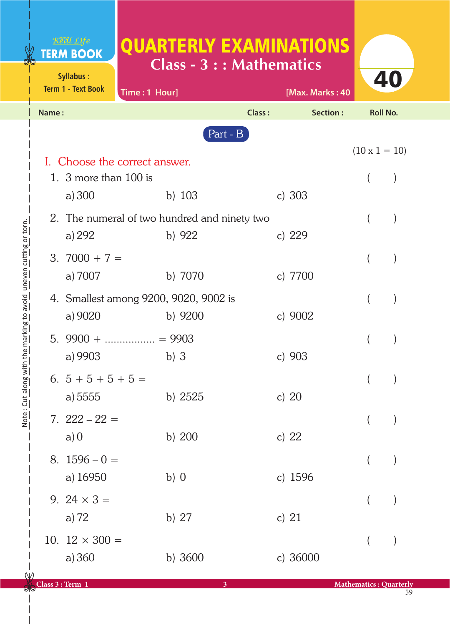# QUARTERLY EXAMINATIONS **Class - 3 : : Mathematics**

|       | <b>Term 1 - Text Book</b> | Time: 1 Hour]                                |            | [Max. Marks: 40 |                      |  |
|-------|---------------------------|----------------------------------------------|------------|-----------------|----------------------|--|
| Name: |                           |                                              | Class:     | Section:        | Roll No.             |  |
|       |                           |                                              | Part - $B$ |                 |                      |  |
|       |                           |                                              |            |                 | $(10 \times 1 = 10)$ |  |
|       | 1. 3 more than $100$ is   | I. Choose the correct answer.                |            |                 | $\left($             |  |
|       | a) $300$                  | b) $103$                                     |            | c) $303$        |                      |  |
|       |                           | 2. The numeral of two hundred and ninety two |            |                 |                      |  |
|       | a) 292                    | b) $922$                                     |            | c) $229$        |                      |  |
|       | 3. $7000 + 7 =$           |                                              |            |                 |                      |  |
|       | a) 7007                   | b) 7070                                      |            | c) 7700         |                      |  |
|       |                           | 4. Smallest among 9200, 9020, 9002 is        |            |                 |                      |  |
|       | a) 9020                   | b) $9200$                                    |            | c) $9002$       |                      |  |
|       |                           | 5. $9900 + \dots + \dots + 9903$             |            |                 |                      |  |
|       | a) 9903                   | $b)$ 3                                       |            | c) $903$        |                      |  |
|       | 6. $5+5+5+5=$             |                                              |            |                 |                      |  |
|       | a) 5555                   | b) $2525$                                    |            | c) $20$         |                      |  |
|       | $7.222 - 22 =$            |                                              |            |                 |                      |  |
|       | a)0                       | b) 200                                       |            | c) $22$         |                      |  |
|       | $8.1596 - 0 =$            |                                              |            |                 | $\overline{(}$       |  |
|       | a) 16950                  | $b)$ 0                                       |            | c) 1596         |                      |  |
|       | 9. $24 \times 3 =$        |                                              |            |                 |                      |  |
|       | a) $72$                   | b) 27                                        |            | c) $21$         |                      |  |
|       | 10. $12 \times 300 =$     |                                              |            |                 |                      |  |
|       | a) 360                    | b) 3600                                      |            | c) 36000        |                      |  |
|       |                           |                                              |            |                 |                      |  |

**Syllabus** :

Real Life **TERM BOOK** 

 $\wedge$ 

40

59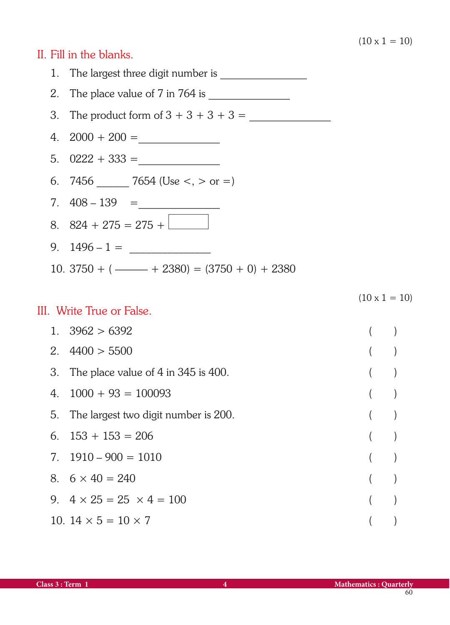$(10 \times 1 = 10)$ 

### II. Fill in the blanks.



#### III. Write True or False.

# $1. \quad 3962 > 6392$  ( )  $2. \quad 4400 > 5500$  ( ) 3. The place value of 4 in 345 is 400. ( )  $4. 1000 + 93 = 100093$  () 5. The largest two digit number is 200. ( ) 6.  $153 + 153 = 206$  ( )  $7. \quad 1910 - 900 = 1010$  ( ) 8.  $6 \times 40 = 240$  ( ) 9.  $4 \times 25 = 25 \times 4 = 100$  ( ) 10.  $14 \times 5 = 10 \times 7$  ()